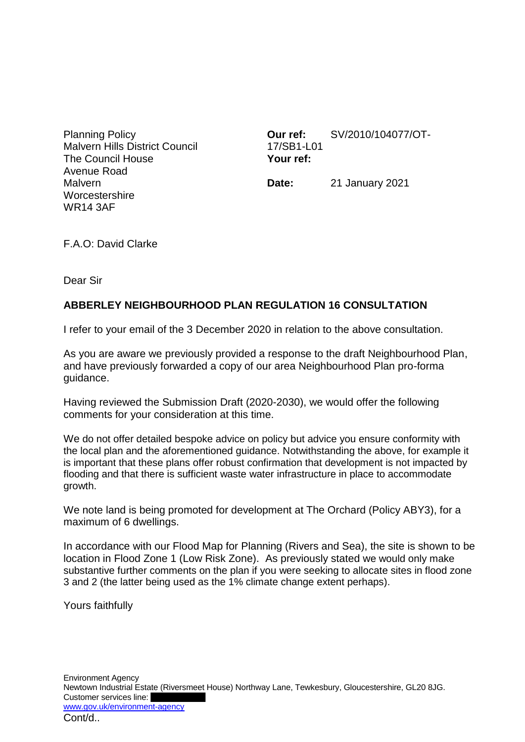Planning Policy Malvern Hills District Council The Council House Avenue Road **Malvern Worcestershire** WR14 3AF

**Our ref:** SV/2010/104077/OT-17/SB1-L01 **Your ref:**

**Date:** 21 January 2021

F.A.O: David Clarke

Dear Sir

## **ABBERLEY NEIGHBOURHOOD PLAN REGULATION 16 CONSULTATION**

I refer to your email of the 3 December 2020 in relation to the above consultation.

As you are aware we previously provided a response to the draft Neighbourhood Plan, and have previously forwarded a copy of our area Neighbourhood Plan pro-forma guidance.

Having reviewed the Submission Draft (2020-2030), we would offer the following comments for your consideration at this time.

We do not offer detailed bespoke advice on policy but advice you ensure conformity with the local plan and the aforementioned guidance. Notwithstanding the above, for example it is important that these plans offer robust confirmation that development is not impacted by flooding and that there is sufficient waste water infrastructure in place to accommodate growth.

We note land is being promoted for development at The Orchard (Policy ABY3), for a maximum of 6 dwellings.

In accordance with our Flood Map for Planning (Rivers and Sea), the site is shown to be location in Flood Zone 1 (Low Risk Zone). As previously stated we would only make substantive further comments on the plan if you were seeking to allocate sites in flood zone 3 and 2 (the latter being used as the 1% climate change extent perhaps).

Yours faithfully